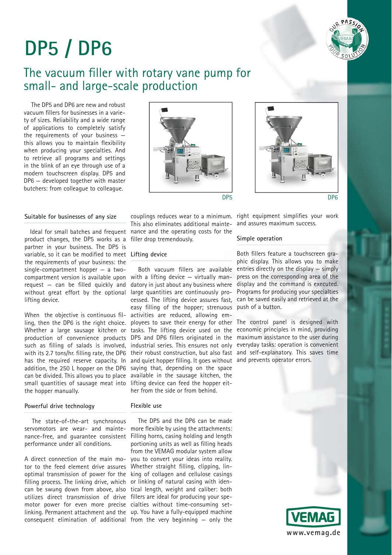

# **DP5 / DP6**

## The vacuum filler with rotary vane pump for small- and large-scale production

The DP5 and DP6 are new and robust vacuum fillers for businesses in a variety of sizes. Reliability and a wide range of applications to completely satisfy the requirements of your business this allows you to maintain flexibility when producing your specialties. And to retrieve all programs and settings in the blink of an eye through use of a modern touchscreen display. DP5 and DP6 — developed together with master butchers: from colleague to colleague.

## **Suitable for businesses of any size**

Ideal for small batches and frequent product changes, the DP5 works as a partner in your business. The DP5 is variable, so it can be modified to meet Lifting device the requirements of your business: the single-compartment hopper — a twocompartment version is available upon request  $-$  can be filled quickly and without great effort by the optional lifting device.

When the objective is continuous filling, then the DP6 is the right choice. Whether a large sausage kitchen or production of convenience products such as filling of salads is involved. with its 2.7 tons/hr. filling rate, the DP6 has the required reserve capacity. In addition, the 250 L hopper on the DP6 can be divided. This allows you to place small quantities of sausage meat into the hopper manually.

## **Powerful drive technology**

The state-of-the-art synchronous servomotors are wear- and maintenance-free, and guarantee consistent performance under all conditions.

A direct connection of the main motor to the feed element drive assures optimal transmission of power for the filling process. The linking drive, which can be swung down from above, also utilizes direct transmission of drive fillers are ideal for producing your spemotor power for even more precise cialties without time-consuming setconsequent elimination of additional from the very beginning — only the

This also eliminates additional maintenance and the operating costs for the filler drop tremendously.

Both vacuum fillers are available with a lifting device — virtually mandatory in just about any business where large quantities are continuously processed. The lifting device assures fast, easy filling of the hopper: strenuous activities are reduced, allowing employees to save their energy for other The control panel is designed with and quiet hopper filling. It goes without and prevents operator errors. saying that, depending on the space available in the sausage kitchen, the lifting device can feed the hopper either from the side or from behind.

## **Flexible use**

linking. Permanent attachment and the up. You have a fully-equipped machine The DP5 and the DP6 can be made more flexible by using the attachments: Filling horns, casing holding and length portioning units as well as filling heads from the VEMAG modular system allow you to convert your ideas into reality. Whether straight filling, clipping, linking of collagen and cellulose casings or linking of natural casing with identical length, weight and caliber: both



couplings reduces wear to a minimum. right equipment simplifies your work and assures maximum success.

### **Simple operation**

Both fillers feature a touchscreen graphic display. This allows you to make entries directly on the display — simply press on the corresponding area of the display and the command is executed. Programs for producing your specialties can be saved easily and retrieved at the push of a button.

tasks. The lifting device used on the economic principles in mind, providing DP5 and DP6 fillers originated in the maximum assistance to the user during industrial series. This ensures not only everyday tasks: operation is convenient their robust construction, but also fast and self-explanatory. This saves time